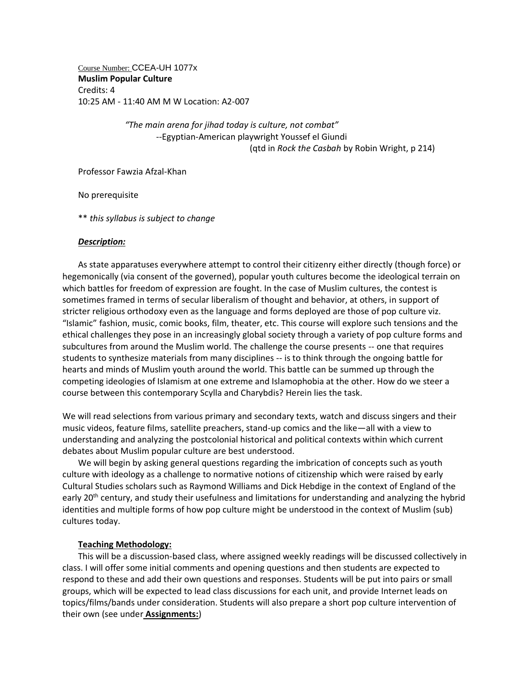Course Number: CCEA-UH 1077x **Muslim Popular Culture** Credits: 4 10:25 AM - 11:40 AM M W Location: A2-007

## *"The main arena for jihad today is culture, not combat"* --Egyptian-American playwright Youssef el Giundi (qtd in *Rock the Casbah* by Robin Wright, p 214)

Professor Fawzia Afzal-Khan

No prerequisite

\*\* *this syllabus is subject to change*

#### *Description:*

As state apparatuses everywhere attempt to control their citizenry either directly (though force) or hegemonically (via consent of the governed), popular youth cultures become the ideological terrain on which battles for freedom of expression are fought. In the case of Muslim cultures, the contest is sometimes framed in terms of secular liberalism of thought and behavior, at others, in support of stricter religious orthodoxy even as the language and forms deployed are those of pop culture viz. "Islamic" fashion, music, comic books, film, theater, etc. This course will explore such tensions and the ethical challenges they pose in an increasingly global society through a variety of pop culture forms and subcultures from around the Muslim world. The challenge the course presents -- one that requires students to synthesize materials from many disciplines -- is to think through the ongoing battle for hearts and minds of Muslim youth around the world. This battle can be summed up through the competing ideologies of Islamism at one extreme and Islamophobia at the other. How do we steer a course between this contemporary Scylla and Charybdis? Herein lies the task.

We will read selections from various primary and secondary texts, watch and discuss singers and their music videos, feature films, satellite preachers, stand-up comics and the like—all with a view to understanding and analyzing the postcolonial historical and political contexts within which current debates about Muslim popular culture are best understood.

We will begin by asking general questions regarding the imbrication of concepts such as youth culture with ideology as a challenge to normative notions of citizenship which were raised by early Cultural Studies scholars such as Raymond Williams and Dick Hebdige in the context of England of the early 20<sup>th</sup> century, and study their usefulness and limitations for understanding and analyzing the hybrid identities and multiple forms of how pop culture might be understood in the context of Muslim (sub) cultures today.

#### **Teaching Methodology:**

This will be a discussion-based class, where assigned weekly readings will be discussed collectively in class. I will offer some initial comments and opening questions and then students are expected to respond to these and add their own questions and responses. Students will be put into pairs or small groups, which will be expected to lead class discussions for each unit, and provide Internet leads on topics/films/bands under consideration. Students will also prepare a short pop culture intervention of their own (see under **Assignments:**)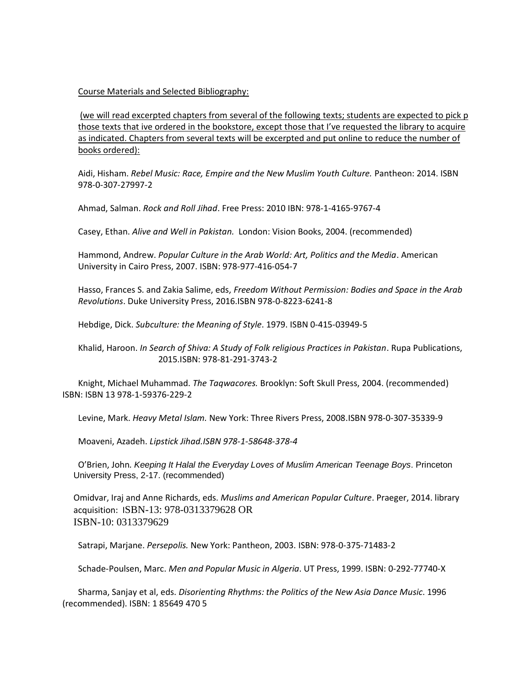Course Materials and Selected Bibliography:

(we will read excerpted chapters from several of the following texts; students are expected to pick p those texts that ive ordered in the bookstore, except those that I've requested the library to acquire as indicated. Chapters from several texts will be excerpted and put online to reduce the number of books ordered):

Aidi, Hisham. *Rebel Music: Race, Empire and the New Muslim Youth Culture.* Pantheon: 2014. ISBN 978-0-307-27997-2

Ahmad, Salman. *Rock and Roll Jihad*. Free Press: 2010 IBN: 978-1-4165-9767-4

Casey, Ethan. *Alive and Well in Pakistan.* London: Vision Books, 2004. (recommended)

Hammond, Andrew. *Popular Culture in the Arab World: Art, Politics and the Media*. American University in Cairo Press, 2007. ISBN: 978-977-416-054-7

Hasso, Frances S. and Zakia Salime, eds, *Freedom Without Permission: Bodies and Space in the Arab Revolutions*. Duke University Press, 2016.ISBN 978-0-8223-6241-8

Hebdige, Dick. *Subculture: the Meaning of Style*. 1979. ISBN 0-415-03949-5

Khalid, Haroon. *In Search of Shiva: A Study of Folk religious Practices in Pakistan*. Rupa Publications, 2015.ISBN: 978-81-291-3743-2

Knight, Michael Muhammad. *The Taqwacores.* Brooklyn: Soft Skull Press, 2004. (recommended) ISBN: ISBN 13 978-1-59376-229-2

Levine, Mark. *Heavy Metal Islam.* New York: Three Rivers Press, 2008.ISBN 978-0-307-35339-9

Moaveni, Azadeh. *Lipstick Jihad.ISBN 978-1-58648-378-4*

O'Brien, John*. Keeping It Halal the Everyday Loves of Muslim American Teenage Boys*. Princeton University Press, 2-17. (recommended)

Omidvar, Iraj and Anne Richards, eds. *Muslims and American Popular Culture*. Praeger, 2014. library acquisition: ISBN-13: 978-0313379628 OR ISBN-10: 0313379629

Satrapi, Marjane. *Persepolis.* New York: Pantheon, 2003. ISBN: 978-0-375-71483-2

Schade-Poulsen, Marc. *Men and Popular Music in Algeria*. UT Press, 1999. ISBN: 0-292-77740-X

Sharma, Sanjay et al, eds. *Disorienting Rhythms: the Politics of the New Asia Dance Music*. 1996 (recommended). ISBN: 1 85649 470 5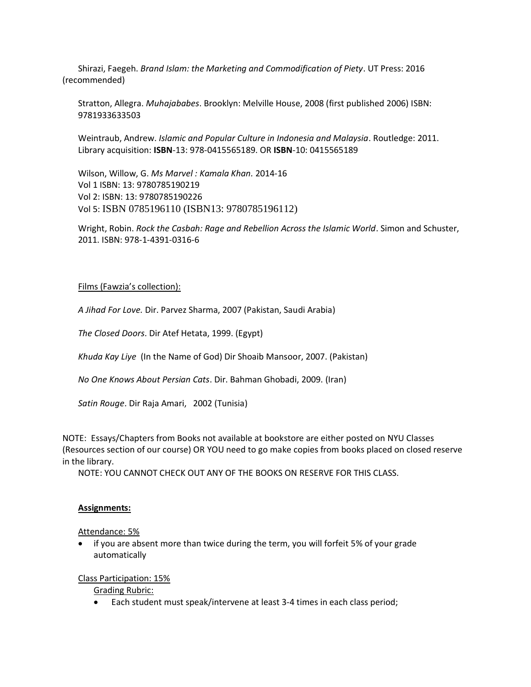Shirazi, Faegeh. *Brand Islam: the Marketing and Commodification of Piety*. UT Press: 2016 (recommended)

Stratton, Allegra. *Muhajababes*. Brooklyn: Melville House, 2008 (first published 2006) ISBN: 9781933633503

Weintraub, Andrew. *Islamic and Popular Culture in Indonesia and Malaysia*. Routledge: 2011. Library acquisition: **ISBN**-13: 978-0415565189. OR **ISBN**-10: 0415565189

Wilson, Willow, G. *Ms Marvel : Kamala Khan.* 2014-16 Vol 1 ISBN: 13: 9780785190219 Vol 2: ISBN: 13: 9780785190226 Vol 5: ISBN 0785196110 (ISBN13: 9780785196112)

Wright, Robin. *Rock the Casbah: Rage and Rebellion Across the Islamic World*. Simon and Schuster, 2011. ISBN: 978-1-4391-0316-6

### Films (Fawzia's collection):

*A Jihad For Love.* Dir. Parvez Sharma, 2007 (Pakistan, Saudi Arabia)

*The Closed Doors*. Dir Atef Hetata, 1999. (Egypt)

*Khuda Kay Liye* (In the Name of God) Dir Shoaib Mansoor, 2007. (Pakistan)

*No One Knows About Persian Cats*. Dir. Bahman Ghobadi, 2009. (Iran)

*Satin Rouge*. Dir Raja Amari, 2002 (Tunisia)

NOTE: Essays/Chapters from Books not available at bookstore are either posted on NYU Classes (Resources section of our course) OR YOU need to go make copies from books placed on closed reserve in the library.

NOTE: YOU CANNOT CHECK OUT ANY OF THE BOOKS ON RESERVE FOR THIS CLASS.

#### **Assignments:**

Attendance: 5%

• if you are absent more than twice during the term, you will forfeit 5% of your grade automatically

#### Class Participation: 15%

Grading Rubric:

• Each student must speak/intervene at least 3-4 times in each class period;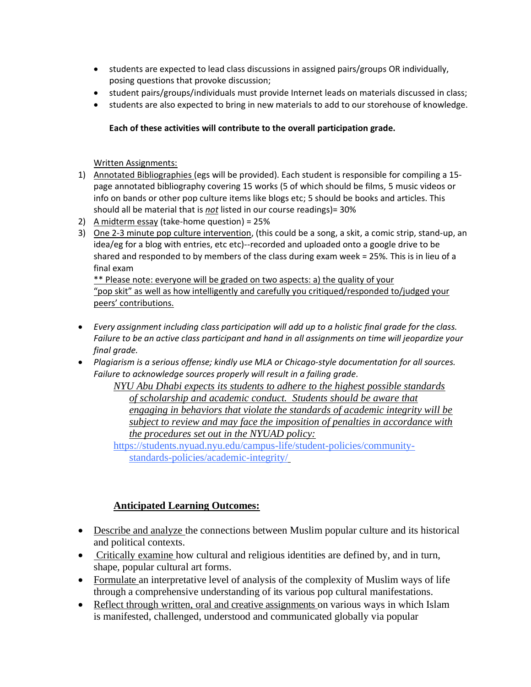- students are expected to lead class discussions in assigned pairs/groups OR individually, posing questions that provoke discussion;
- student pairs/groups/individuals must provide Internet leads on materials discussed in class;
- students are also expected to bring in new materials to add to our storehouse of knowledge.

## **Each of these activities will contribute to the overall participation grade.**

Written Assignments:

- 1) Annotated Bibliographies (egs will be provided). Each student is responsible for compiling a 15 page annotated bibliography covering 15 works (5 of which should be films, 5 music videos or info on bands or other pop culture items like blogs etc; 5 should be books and articles. This should all be material that is *not* listed in our course readings)= 30%
- 2) A midterm essay (take-home question) = 25%
- 3) One 2-3 minute pop culture intervention, (this could be a song, a skit, a comic strip, stand-up, an idea/eg for a blog with entries, etc etc)--recorded and uploaded onto a google drive to be shared and responded to by members of the class during exam week = 25%. This is in lieu of a final exam

\*\* Please note: everyone will be graded on two aspects: a) the quality of your "pop skit" as well as how intelligently and carefully you critiqued/responded to/judged your peers' contributions.

- *Every assignment including class participation will add up to a holistic final grade for the class. Failure to be an active class participant and hand in all assignments on time will jeopardize your final grade.*
- *Plagiarism is a serious offense; kindly use MLA or Chicago-style documentation for all sources. Failure to acknowledge sources properly will result in a failing grade.*

*NYU Abu Dhabi expects its students to adhere to the highest possible standards of scholarship and academic conduct. Students should be aware that engaging in behaviors that violate the standards of academic integrity will be subject to review and may face the imposition of penalties in accordance with the procedures set out in the NYUAD policy:*

[https://students.nyuad.nyu.edu/campus-life/student-policies/community](https://students.nyuad.nyu.edu/campus-life/student-policies/community-standards-policies/academic-integrity/)[standards-policies/academic-integrity/](https://students.nyuad.nyu.edu/campus-life/student-policies/community-standards-policies/academic-integrity/)

# **Anticipated Learning Outcomes:**

- Describe and analyze the connections between Muslim popular culture and its historical and political contexts.
- Critically examine how cultural and religious identities are defined by, and in turn, shape, popular cultural art forms.
- Formulate an interpretative level of analysis of the complexity of Muslim ways of life through a comprehensive understanding of its various pop cultural manifestations.
- Reflect through written, oral and creative assignments on various ways in which Islam is manifested, challenged, understood and communicated globally via popular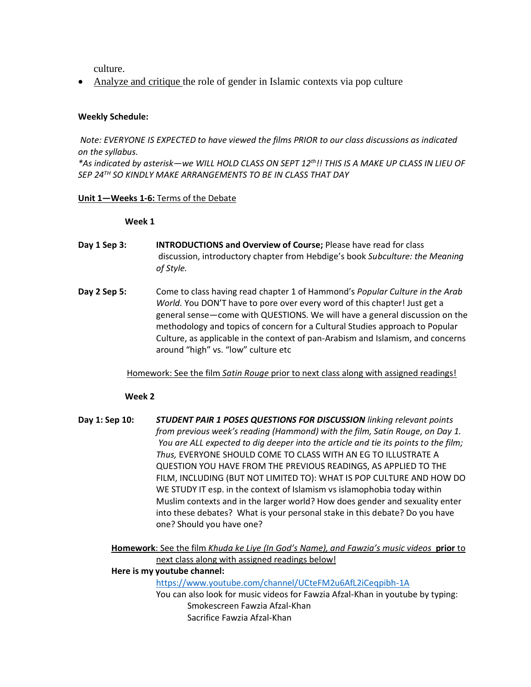culture.

• Analyze and critique the role of gender in Islamic contexts via pop culture

## **Weekly Schedule:**

*Note: EVERYONE IS EXPECTED to have viewed the films PRIOR to our class discussions as indicated on the syllabus.*

*\*As indicated by asterisk—we WILL HOLD CLASS ON SEPT 12th!! THIS IS A MAKE UP CLASS IN LIEU OF SEP 24TH SO KINDLY MAKE ARRANGEMENTS TO BE IN CLASS THAT DAY*

## **Unit 1—Weeks 1-6:** Terms of the Debate

### **Week 1**

- **Day 1 Sep 3: INTRODUCTIONS and Overview of Course;** Please have read for class discussion, introductory chapter from Hebdige's book *Subculture: the Meaning of Style.*
- **Day 2 Sep 5:** Come to class having read chapter 1 of Hammond's *Popular Culture in the Arab World.* You DON'T have to pore over every word of this chapter! Just get a general sense—come with QUESTIONS. We will have a general discussion on the methodology and topics of concern for a Cultural Studies approach to Popular Culture, as applicable in the context of pan-Arabism and Islamism, and concerns around "high" vs. "low" culture etc

Homework: See the film *Satin Rouge* prior to next class along with assigned readings!

### **Week 2**

**Day 1: Sep 10:** *STUDENT PAIR 1 POSES QUESTIONS FOR DISCUSSION linking relevant points from previous week's reading (Hammond) with the film, Satin Rouge, on Day 1. You are ALL expected to dig deeper into the article and tie its points to the film; Thus,* EVERYONE SHOULD COME TO CLASS WITH AN EG TO ILLUSTRATE A QUESTION YOU HAVE FROM THE PREVIOUS READINGS, AS APPLIED TO THE FILM, INCLUDING (BUT NOT LIMITED TO): WHAT IS POP CULTURE AND HOW DO WE STUDY IT esp. in the context of Islamism vs islamophobia today within Muslim contexts and in the larger world? How does gender and sexuality enter into these debates? What is your personal stake in this debate? Do you have one? Should you have one?

**Homework**: See the film *Khuda ke Liye (In God's Name), and Fawzia's music videos* **prior** to next class along with assigned readings below! **Here is my youtube channel:**

<https://www.youtube.com/channel/UCteFM2u6AfL2iCeqpibh-1A>

You can also look for music videos for Fawzia Afzal-Khan in youtube by typing: Smokescreen Fawzia Afzal-Khan Sacrifice Fawzia Afzal-Khan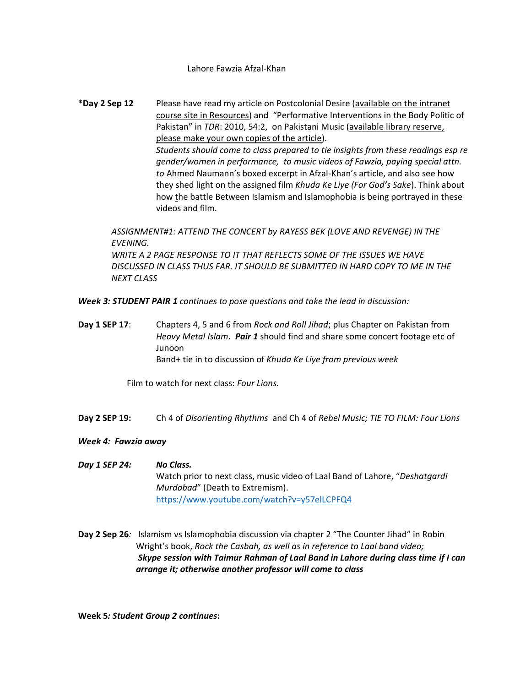Lahore Fawzia Afzal-Khan

**\*Day 2 Sep 12** Please have read my article on Postcolonial Desire (available on the intranet course site in Resources) and "Performative Interventions in the Body Politic of Pakistan" in *TDR*: 2010, 54:2, on Pakistani Music (available library reserve, please make your own copies of the article). *Students should come to class prepared to tie insights from these readings esp re gender/women in performance, to music videos of Fawzia, paying special attn. to* Ahmed Naumann's boxed excerpt in Afzal-Khan's article, and also see how they shed light on the assigned film *Khuda Ke Liye (For God's Sake*). Think about how the battle Between Islamism and Islamophobia is being portrayed in these videos and film.

*ASSIGNMENT#1: ATTEND THE CONCERT by RAYESS BEK (LOVE AND REVENGE) IN THE EVENING. WRITE A 2 PAGE RESPONSE TO IT THAT REFLECTS SOME OF THE ISSUES WE HAVE DISCUSSED IN CLASS THUS FAR. IT SHOULD BE SUBMITTED IN HARD COPY TO ME IN THE NEXT CLASS*

*Week 3: STUDENT PAIR 1 continues to pose questions and take the lead in discussion:*

**Day 1 SEP 17**: Chapters 4, 5 and 6 from *Rock and Roll Jihad*; plus Chapter on Pakistan from *Heavy Metal Islam***.** *Pair 1* should find and share some concert footage etc of Junoon Band+ tie in to discussion of *Khuda Ke Liye from previous week*

Film to watch for next class: *Four Lions.* 

- **Day 2 SEP 19:** Ch 4 of *Disorienting Rhythms* and Ch 4 of *Rebel Music; TIE TO FILM: Four Lions*
- *Week 4: Fawzia away*
- *Day 1 SEP 24: No Class.*  Watch prior to next class, music video of Laal Band of Lahore, "*Deshatgardi Murdabad*" (Death to Extremism). <https://www.youtube.com/watch?v=y57elLCPFQ4>

**Day 2 Sep 26***:* Islamism vs Islamophobia discussion via chapter 2 "The Counter Jihad" in Robin Wright's book, *Rock the Casbah, as well as in reference to Laal band video; Skype session with Taimur Rahman of Laal Band in Lahore during class time if I can arrange it; otherwise another professor will come to class* 

**Week 5***: Student Group 2 continues***:**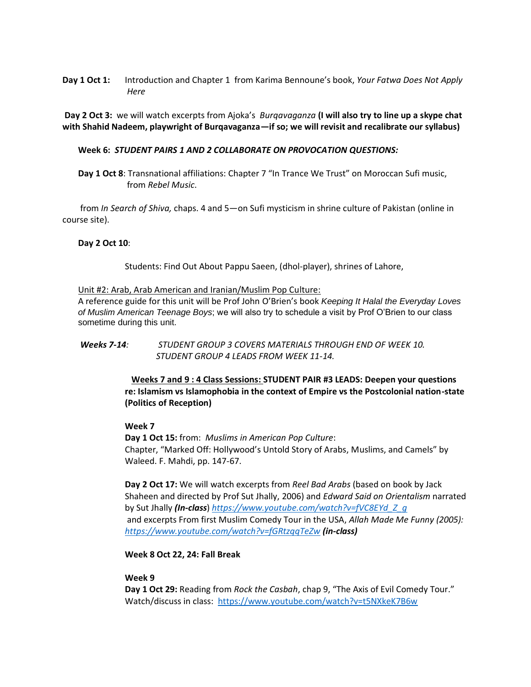**Day 1 Oct 1:** Introduction and Chapter 1 from Karima Bennoune's book, *Your Fatwa Does Not Apply Here*

**Day 2 Oct 3:** we will watch excerpts from Ajoka's *Burqavaganza* **(I will also try to line up a skype chat with Shahid Nadeem, playwright of Burqavaganza—if so; we will revisit and recalibrate our syllabus)**

**Week 6:** *STUDENT PAIRS 1 AND 2 COLLABORATE ON PROVOCATION QUESTIONS:*

**Day 1 Oct 8**: Transnational affiliations: Chapter 7 "In Trance We Trust" on Moroccan Sufi music, from *Rebel Music*.

from *In Search of Shiva,* chaps. 4 and 5—on Sufi mysticism in shrine culture of Pakistan (online in course site).

#### **Day 2 Oct 10**:

Students: Find Out About Pappu Saeen, (dhol-player), shrines of Lahore,

#### Unit #2: Arab, Arab American and Iranian/Muslim Pop Culture:

A reference guide for this unit will be Prof John O'Brien's book *Keeping It Halal the Everyday Loves of Muslim American Teenage Boys*; we will also try to schedule a visit by Prof O'Brien to our class sometime during this unit.

*Weeks 7-14: STUDENT GROUP 3 COVERS MATERIALS THROUGH END OF WEEK 10. STUDENT GROUP 4 LEADS FROM WEEK 11-14.*

> **Weeks 7 and 9 : 4 Class Sessions: STUDENT PAIR #3 LEADS: Deepen your questions re: Islamism vs Islamophobia in the context of Empire vs the Postcolonial nation-state (Politics of Reception)**

#### **Week 7**

**Day 1 Oct 15:** from: *Muslims in American Pop Culture*: Chapter, "Marked Off: Hollywood's Untold Story of Arabs, Muslims, and Camels" by Waleed. F. Mahdi, pp. 147-67.

**Day 2 Oct 17:** We will watch excerpts from *Reel Bad Arabs* (based on book by Jack Shaheen and directed by Prof Sut Jhally, 2006) and *Edward Said on Orientalism* narrated by Sut Jhally *(In-class*) *[https://www.youtube.com/watch?v=fVC8EYd\\_Z\\_g](https://www.youtube.com/watch?v=fVC8EYd_Z_g)* and excerpts From first Muslim Comedy Tour in the USA, *Allah Made Me Funny (2005): <https://www.youtube.com/watch?v=fGRtzqqTeZw> (in-class)*

#### **Week 8 Oct 22, 24: Fall Break**

#### **Week 9**

**Day 1 Oct 29:** Reading from *Rock the Casbah*, chap 9, "The Axis of Evil Comedy Tour." Watch/discuss in class: <https://www.youtube.com/watch?v=t5NXkeK7B6w>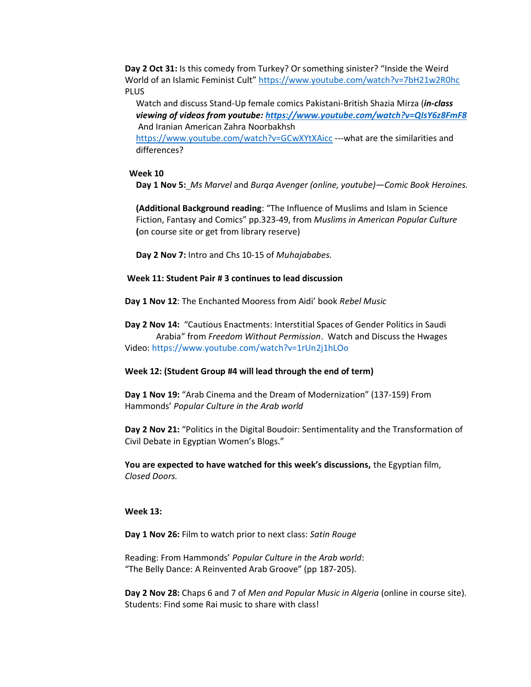**Day 2 Oct 31:** Is this comedy from Turkey? Or something sinister? "Inside the Weird World of an Islamic Feminist Cult" <https://www.youtube.com/watch?v=7bH21w2R0hc> PLUS

Watch and discuss Stand-Up female comics Pakistani-British Shazia Mirza (*in-class viewing of videos from youtube:<https://www.youtube.com/watch?v=QIsY6z8FmF8>* And Iranian American Zahra Noorbakhsh

<https://www.youtube.com/watch?v=GCwXYtXAicc> ---what are the similarities and differences?

### **Week 10**

**Day 1 Nov 5:** *Ms Marvel* and *Burqa Avenger (online, youtube)—Comic Book Heroines.*

**(Additional Background reading**: "The Influence of Muslims and Islam in Science Fiction, Fantasy and Comics" pp.323-49, from *Muslims in American Popular Culture* **(**on course site or get from library reserve)

**Day 2 Nov 7:** Intro and Chs 10-15 of *Muhajababes.*

#### **Week 11: Student Pair # 3 continues to lead discussion**

**Day 1 Nov 12**: The Enchanted Mooress from Aidi' book *Rebel Music*

**Day 2 Nov 14:** "Cautious Enactments: Interstitial Spaces of Gender Politics in Saudi Arabia" from *Freedom Without Permission*. Watch and Discuss the Hwages Video:<https://www.youtube.com/watch?v=1rUn2j1hLOo>

#### **Week 12: (Student Group #4 will lead through the end of term)**

**Day 1 Nov 19:** "Arab Cinema and the Dream of Modernization" (137-159) From Hammonds' *Popular Culture in the Arab world*

**Day 2 Nov 21:** "Politics in the Digital Boudoir: Sentimentality and the Transformation of Civil Debate in Egyptian Women's Blogs."

**You are expected to have watched for this week's discussions,** the Egyptian film, *Closed Doors.*

#### **Week 13:**

**Day 1 Nov 26:** Film to watch prior to next class: *Satin Rouge*

Reading: From Hammonds' *Popular Culture in the Arab world*: "The Belly Dance: A Reinvented Arab Groove" (pp 187-205).

**Day 2 Nov 28:** Chaps 6 and 7 of *Men and Popular Music in Algeria* (online in course site). Students: Find some Rai music to share with class!